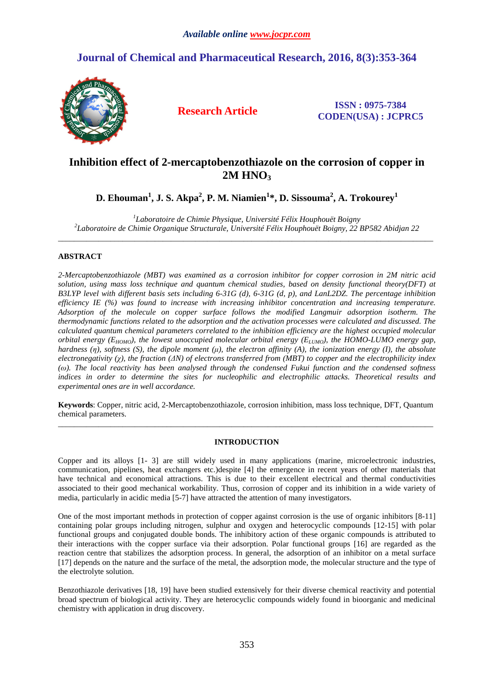# **Journal of Chemical and Pharmaceutical Research, 2016, 8(3):353-364**



**Research Article ISSN : 0975-7384 CODEN(USA) : JCPRC5**

# **Inhibition effect of 2-mercaptobenzothiazole on the corrosion of copper in 2M HNO<sup>3</sup>**

**D. Ehouman<sup>1</sup> , J. S. Akpa<sup>2</sup> , P. M. Niamien<sup>1</sup> \*, D. Sissouma<sup>2</sup> , A. Trokourey<sup>1</sup>**

*1 Laboratoire de Chimie Physique, Université Félix Houphouët Boigny 2 Laboratoire de Chimie Organique Structurale, Université Félix Houphouët Boigny, 22 BP582 Abidjan 22*  \_\_\_\_\_\_\_\_\_\_\_\_\_\_\_\_\_\_\_\_\_\_\_\_\_\_\_\_\_\_\_\_\_\_\_\_\_\_\_\_\_\_\_\_\_\_\_\_\_\_\_\_\_\_\_\_\_\_\_\_\_\_\_\_\_\_\_\_\_\_\_\_\_\_\_\_\_\_\_\_\_\_\_\_\_\_\_\_\_\_\_\_\_

# **ABSTRACT**

*2-Mercaptobenzothiazole (MBT) was examined as a corrosion inhibitor for copper corrosion in 2M nitric acid solution, using mass loss technique and quantum chemical studies, based on density functional theory(DFT) at B3LYP level with different basis sets including 6-31G (d), 6-31G (d, p), and LanL2DZ. The percentage inhibition efficiency IE (%) was found to increase with increasing inhibitor concentration and increasing temperature. Adsorption of the molecule on copper surface follows the modified Langmuir adsorption isotherm. The thermodynamic functions related to the adsorption and the activation processes were calculated and discussed. The calculated quantum chemical parameters correlated to the inhibition efficiency are the highest occupied molecular orbital energy (EHOMO), the lowest unoccupied molecular orbital energy (ELUMO), the HOMO-LUMO energy gap, hardness (η), softness (S), the dipole moment (µ), the electron affinity (A), the ionization energy (I), the absolute electronegativity (χ), the fraction (∆N) of electrons transferred from (MBT) to copper and the electrophilicity index (ω). The local reactivity has been analysed through the condensed Fukui function and the condensed softness indices in order to determine the sites for nucleophilic and electrophilic attacks. Theoretical results and experimental ones are in well accordance.* 

**Keywords**: Copper, nitric acid, 2-Mercaptobenzothiazole, corrosion inhibition, mass loss technique, DFT, Quantum chemical parameters. \_\_\_\_\_\_\_\_\_\_\_\_\_\_\_\_\_\_\_\_\_\_\_\_\_\_\_\_\_\_\_\_\_\_\_\_\_\_\_\_\_\_\_\_\_\_\_\_\_\_\_\_\_\_\_\_\_\_\_\_\_\_\_\_\_\_\_\_\_\_\_\_\_\_\_\_\_\_\_\_\_\_\_\_\_\_\_\_\_\_\_\_\_

# **INTRODUCTION**

Copper and its alloys [1- 3] are still widely used in many applications (marine, microelectronic industries, communication, pipelines, heat exchangers etc.)despite [4] the emergence in recent years of other materials that have technical and economical attractions. This is due to their excellent electrical and thermal conductivities associated to their good mechanical workability. Thus, corrosion of copper and its inhibition in a wide variety of media, particularly in acidic media [5-7] have attracted the attention of many investigators.

One of the most important methods in protection of copper against corrosion is the use of organic inhibitors [8-11] containing polar groups including nitrogen, sulphur and oxygen and heterocyclic compounds [12-15] with polar functional groups and conjugated double bonds. The inhibitory action of these organic compounds is attributed to their interactions with the copper surface via their adsorption. Polar functional groups [16] are regarded as the reaction centre that stabilizes the adsorption process. In general, the adsorption of an inhibitor on a metal surface [17] depends on the nature and the surface of the metal, the adsorption mode, the molecular structure and the type of the electrolyte solution.

Benzothiazole derivatives [18, 19] have been studied extensively for their diverse chemical reactivity and potential broad spectrum of biological activity. They are heterocyclic compounds widely found in bioorganic and medicinal chemistry with application in drug discovery.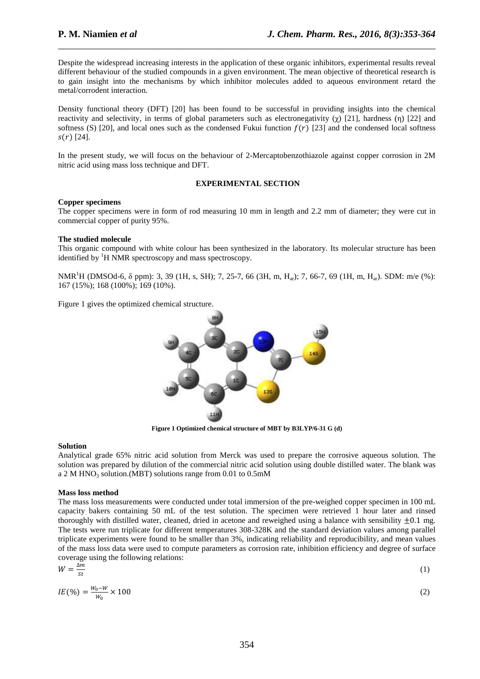Despite the widespread increasing interests in the application of these organic inhibitors, experimental results reveal different behaviour of the studied compounds in a given environment. The mean objective of theoretical research is to gain insight into the mechanisms by which inhibitor molecules added to aqueous environment retard the metal/corrodent interaction.

\_\_\_\_\_\_\_\_\_\_\_\_\_\_\_\_\_\_\_\_\_\_\_\_\_\_\_\_\_\_\_\_\_\_\_\_\_\_\_\_\_\_\_\_\_\_\_\_\_\_\_\_\_\_\_\_\_\_\_\_\_\_\_\_\_\_\_\_\_\_\_\_\_\_\_\_\_\_

Density functional theory (DFT) [20] has been found to be successful in providing insights into the chemical reactivity and selectivity, in terms of global parameters such as electronegativity (χ) [21], hardness (η) [22] and softness (S) [20], and local ones such as the condensed Fukui function  $f(r)$  [23] and the condensed local softness  $s(r)$  [24].

In the present study, we will focus on the behaviour of 2-Mercaptobenzothiazole against copper corrosion in 2M nitric acid using mass loss technique and DFT.

# **EXPERIMENTAL SECTION**

# **Copper specimens**

The copper specimens were in form of rod measuring 10 mm in length and 2.2 mm of diameter; they were cut in commercial copper of purity 95%.

# **The studied molecule**

This organic compound with white colour has been synthesized in the laboratory. Its molecular structure has been identified by  ${}^{1}H$  NMR spectroscopy and mass spectroscopy.

NMR<sup>1</sup>H (DMSOd-6,  $\delta$  ppm): 3, 39 (1H, s, SH); 7, 25-7, 66 (3H, m, H<sub>ar</sub>); 7, 66-7, 69 (1H, m, H<sub>ar</sub>). SDM: m/e (%): 167 (15%); 168 (100%); 169 (10%).

Figure 1 gives the optimized chemical structure.



**Figure 1 Optimized chemical structure of MBT by B3LYP/6-31 G (d)** 

# **Solution**

Analytical grade 65% nitric acid solution from Merck was used to prepare the corrosive aqueous solution. The solution was prepared by dilution of the commercial nitric acid solution using double distilled water. The blank was a 2 M HNO<sub>3</sub> solution.(MBT) solutions range from 0.01 to 0.5mM

### **Mass loss method**

The mass loss measurements were conducted under total immersion of the pre-weighed copper specimen in 100 mL capacity bakers containing 50 mL of the test solution. The specimen were retrieved 1 hour later and rinsed thoroughly with distilled water, cleaned, dried in acetone and reweighed using a balance with sensibility  $\pm 0.1$  mg. The tests were run triplicate for different temperatures 308-328K and the standard deviation values among parallel triplicate experiments were found to be smaller than 3%, indicating reliability and reproducibility, and mean values of the mass loss data were used to compute parameters as corrosion rate, inhibition efficiency and degree of surface coverage using the following relations:

$$
W = \frac{\Delta m}{st} \tag{1}
$$

$$
IE(\%) = \frac{w_0 - w}{w_0} \times 100
$$
 (2)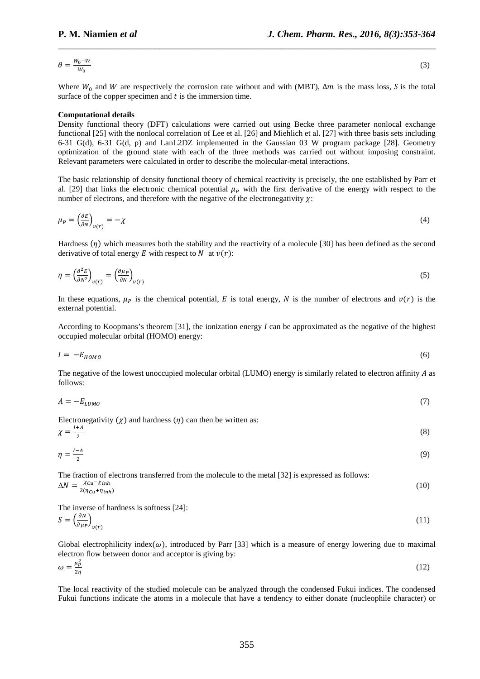$$
\theta = \frac{W_0 - W}{W_0} \tag{3}
$$

Where  $W_0$  and W are respectively the corrosion rate without and with (MBT),  $\Delta m$  is the mass loss, S is the total surface of the copper specimen and  $t$  is the immersion time.

\_\_\_\_\_\_\_\_\_\_\_\_\_\_\_\_\_\_\_\_\_\_\_\_\_\_\_\_\_\_\_\_\_\_\_\_\_\_\_\_\_\_\_\_\_\_\_\_\_\_\_\_\_\_\_\_\_\_\_\_\_\_\_\_\_\_\_\_\_\_\_\_\_\_\_\_\_\_

#### **Computational details**

Density functional theory (DFT) calculations were carried out using Becke three parameter nonlocal exchange functional [25] with the nonlocal correlation of Lee et al. [26] and Miehlich et al. [27] with three basis sets including 6-31 G(d), 6-31 G(d, p) and LanL2DZ implemented in the Gaussian 03 W program package [28]. Geometry optimization of the ground state with each of the three methods was carried out without imposing constraint. Relevant parameters were calculated in order to describe the molecular-metal interactions.

The basic relationship of density functional theory of chemical reactivity is precisely, the one established by Parr et al. [29] that links the electronic chemical potential  $\mu$ <sub>p</sub> with the first derivative of the energy with respect to the number of electrons, and therefore with the negative of the electronegativity  $\chi$ :

$$
\mu_P = \left(\frac{\partial E}{\partial N}\right)_{\nu(r)} = -\chi \tag{4}
$$

Hardness  $(n)$  which measures both the stability and the reactivity of a molecule [30] has been defined as the second derivative of total energy E with respect to N at  $v(r)$ :

$$
\eta = \left(\frac{\partial^2 E}{\partial N^2}\right)_{v(r)} = \left(\frac{\partial \mu_P}{\partial N}\right)_{v(r)}\tag{5}
$$

In these equations,  $\mu_{\rm p}$  is the chemical potential, E is total energy, N is the number of electrons and  $v(r)$  is the external potential.

According to Koopmans's theorem [31], the ionization energy *I* can be approximated as the negative of the highest occupied molecular orbital (HOMO) energy:

$$
I = -E_{HOMO} \tag{6}
$$

The negative of the lowest unoccupied molecular orbital (LUMO) energy is similarly related to electron affinity  $A$  as follows:

$$
A = -E_{LUMO} \tag{7}
$$

Electronegativity  $(\chi)$  and hardness  $(\eta)$  can then be written as:

$$
\chi = \frac{l+A}{2} \tag{8}
$$

$$
\eta = \frac{I - A}{2} \tag{9}
$$

The fraction of electrons transferred from the molecule to the metal [32] is expressed as follows:  $\Delta N = \frac{\chi_{Cu} - \chi_{inh}}{2(\eta_{Cu} + \eta_{inh})}$ (10)

The inverse of hardness is softness [24]:

$$
S = \left(\frac{\partial N}{\partial \mu_P}\right)_{\nu(r)}\tag{11}
$$

Global electrophilicity index( $\omega$ ), introduced by Parr [33] which is a measure of energy lowering due to maximal electron flow between donor and acceptor is giving by:

$$
\omega = \frac{\mu_p^2}{2\eta} \tag{12}
$$

The local reactivity of the studied molecule can be analyzed through the condensed Fukui indices. The condensed Fukui functions indicate the atoms in a molecule that have a tendency to either donate (nucleophile character) or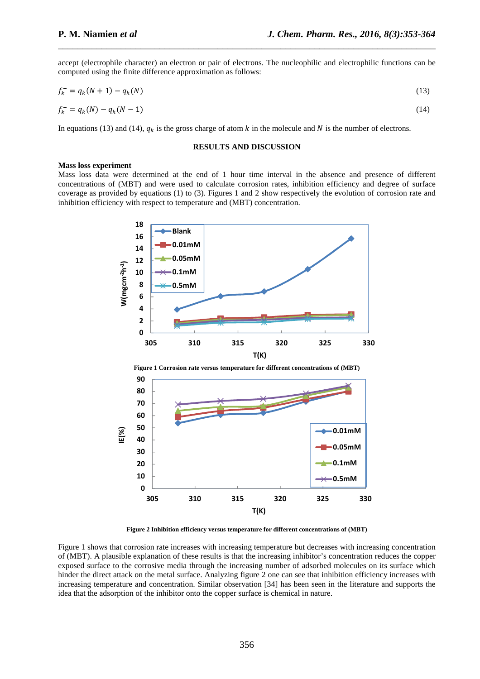accept (electrophile character) an electron or pair of electrons. The nucleophilic and electrophilic functions can be computed using the finite difference approximation as follows:

\_\_\_\_\_\_\_\_\_\_\_\_\_\_\_\_\_\_\_\_\_\_\_\_\_\_\_\_\_\_\_\_\_\_\_\_\_\_\_\_\_\_\_\_\_\_\_\_\_\_\_\_\_\_\_\_\_\_\_\_\_\_\_\_\_\_\_\_\_\_\_\_\_\_\_\_\_\_

$$
f_k^+ = q_k(N+1) - q_k(N) \tag{13}
$$

$$
f_k^- = q_k(N) - q_k(N-1) \tag{14}
$$

In equations (13) and (14),  $q_k$  is the gross charge of atom k in the molecule and N is the number of electrons.

# **RESULTS AND DISCUSSION**

#### **Mass loss experiment**

Mass loss data were determined at the end of 1 hour time interval in the absence and presence of different concentrations of (MBT) and were used to calculate corrosion rates, inhibition efficiency and degree of surface coverage as provided by equations (1) to (3). Figures 1 and 2 show respectively the evolution of corrosion rate and inhibition efficiency with respect to temperature and (MBT) concentration.



**Figure 2 Inhibition efficiency versus temperature for different concentrations of (MBT)** 

Figure 1 shows that corrosion rate increases with increasing temperature but decreases with increasing concentration of (MBT). A plausible explanation of these results is that the increasing inhibitor's concentration reduces the copper exposed surface to the corrosive media through the increasing number of adsorbed molecules on its surface which hinder the direct attack on the metal surface. Analyzing figure 2 one can see that inhibition efficiency increases with increasing temperature and concentration. Similar observation [34] has been seen in the literature and supports the idea that the adsorption of the inhibitor onto the copper surface is chemical in nature.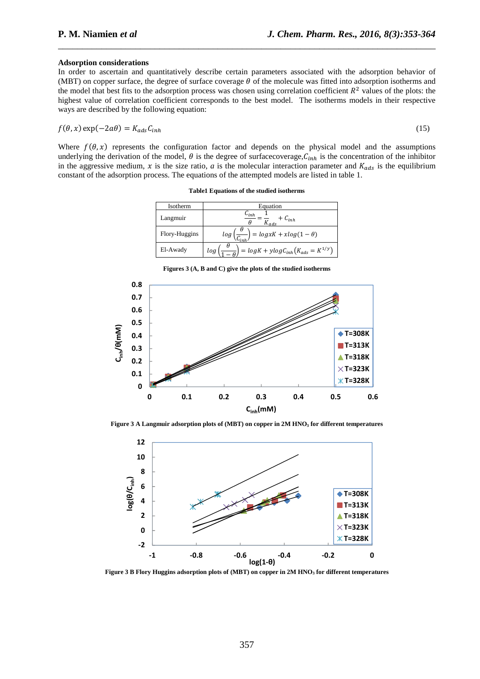#### **Adsorption considerations**

In order to ascertain and quantitatively describe certain parameters associated with the adsorption behavior of (MBT) on copper surface, the degree of surface coverage  $\theta$  of the molecule was fitted into adsorption isotherms and the model that best fits to the adsorption process was chosen using correlation coefficient  $R^2$  values of the plots: the highest value of correlation coefficient corresponds to the best model. The isotherms models in their respective ways are described by the following equation:

\_\_\_\_\_\_\_\_\_\_\_\_\_\_\_\_\_\_\_\_\_\_\_\_\_\_\_\_\_\_\_\_\_\_\_\_\_\_\_\_\_\_\_\_\_\_\_\_\_\_\_\_\_\_\_\_\_\_\_\_\_\_\_\_\_\_\_\_\_\_\_\_\_\_\_\_\_\_

$$
f(\theta, x) \exp(-2a\theta) = K_{ads} C_{inh} \tag{15}
$$

Where  $f(\theta, x)$  represents the configuration factor and depends on the physical model and the assumptions underlying the derivation of the model,  $\theta$  is the degree of surfacecoverage,  $C_{inh}$  is the concentration of the inhibitor in the aggressive medium, x is the size ratio, a is the molecular interaction parameter and  $K_{ads}$  is the equilibrium constant of the adsorption process. The equations of the attempted models are listed in table 1.

**Table1 Equations of the studied isotherms** 

| Isotherm      | Equation                                                          |
|---------------|-------------------------------------------------------------------|
| Langmuir      | $\mathsf{L}_{inh}$<br>$+ C_{inh}$<br>$K_{ads}$                    |
| Flory-Huggins | Н<br>$= logxK + xlog(1-\theta)$<br>log(                           |
| El-Awady      | $= log K + y log C_{inh} (K_{ads} = K^{1/y})$<br>log <sub>1</sub> |

**Figures 3 (A, B and C) give the plots of the studied isotherms** 



**Figure 3 A Langmuir adsorption plots of (MBT) on copper in 2M HNO3 for different temperatures** 



**Figure 3 B Flory Huggins adsorption plots of (MBT) on copper in 2M HNO3 for different temperatures**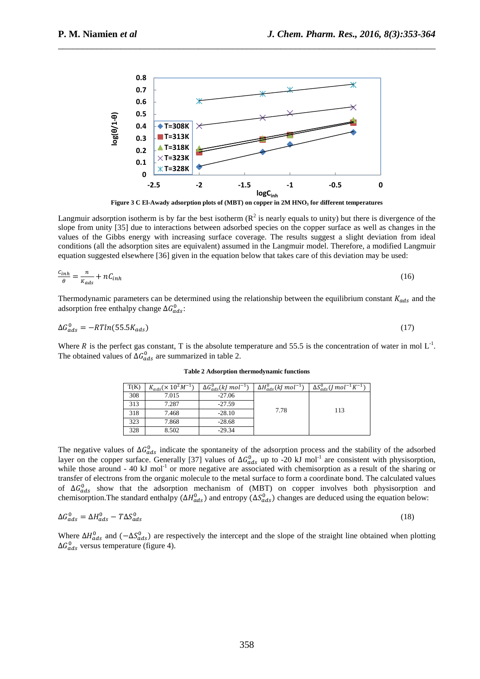

\_\_\_\_\_\_\_\_\_\_\_\_\_\_\_\_\_\_\_\_\_\_\_\_\_\_\_\_\_\_\_\_\_\_\_\_\_\_\_\_\_\_\_\_\_\_\_\_\_\_\_\_\_\_\_\_\_\_\_\_\_\_\_\_\_\_\_\_\_\_\_\_\_\_\_\_\_\_

**Figure 3 C El-Awady adsorption plots of (MBT) on copper in 2M HNO3 for different temperatures** 

Langmuir adsorption isotherm is by far the best isotherm  $(R^2$  is nearly equals to unity) but there is divergence of the slope from unity [35] due to interactions between adsorbed species on the copper surface as well as changes in the values of the Gibbs energy with increasing surface coverage. The results suggest a slight deviation from ideal conditions (all the adsorption sites are equivalent) assumed in the Langmuir model. Therefore, a modified Langmuir equation suggested elsewhere [36] given in the equation below that takes care of this deviation may be used:

$$
\frac{c_{inh}}{\theta} = \frac{n}{K_{ads}} + nC_{inh} \tag{16}
$$

Thermodynamic parameters can be determined using the relationship between the equilibrium constant  $K_{ads}$  and the adsorption free enthalpy change  $\Delta G_{ads}^0$ :

$$
\Delta G_{ads}^0 = -RTln(55.5K_{ads})\tag{17}
$$

Where R is the perfect gas constant, T is the absolute temperature and 55.5 is the concentration of water in mol  $L^{-1}$ . The obtained values of  $\Delta G_{ads}^0$  are summarized in table 2.

| T(K) | $K_{ads}(\times 10^{2} M^{-1})$ | $\Delta G_{ads}^{0}(kJ\,mol^{-1})$ | $\Delta H_{ads}^{0}(kJ\,mol^{-1})$ | $\Delta S^0_{ads} (J \, mol^{-1} K^{-1})$ |
|------|---------------------------------|------------------------------------|------------------------------------|-------------------------------------------|
| 308  | 7.015                           | $-27.06$                           |                                    |                                           |
| 313  | 7.287                           | $-27.59$                           |                                    |                                           |
| 318  | 7.468                           | $-28.10$                           | 7.78                               | 113                                       |
| 323  | 7.868                           | $-28.68$                           |                                    |                                           |
| 328  | 8.502                           | $-29.34$                           |                                    |                                           |

**Table 2 Adsorption thermodynamic functions** 

The negative values of  $\Delta G_{ads}^0$  indicate the spontaneity of the adsorption process and the stability of the adsorbed layer on the copper surface. Generally [37] values of  $\Delta G_{ads}^0$  up to -20 kJ mol<sup>-1</sup> are consistent with physisorption, while those around  $-40$  kJ mol<sup>-1</sup> or more negative are associated with chemisorption as a result of the sharing or transfer of electrons from the organic molecule to the metal surface to form a coordinate bond. The calculated values of  $\Delta G_{ads}^0$  show that the adsorption mechanism of (MBT) on copper involves both physisorption and chemisorption. The standard enthalpy  $(\Delta H_{ads}^0)$  and entropy  $(\Delta S_{ads}^0)$  changes are deduced using the equation below:

$$
\Delta G_{ads}^0 = \Delta H_{ads}^0 - T\Delta S_{ads}^0 \tag{18}
$$

Where  $\Delta H_{ads}^0$  and  $(-\Delta S_{ads}^0)$  are respectively the intercept and the slope of the straight line obtained when plotting  $\Delta G_{ads}^0$  versus temperature (figure 4).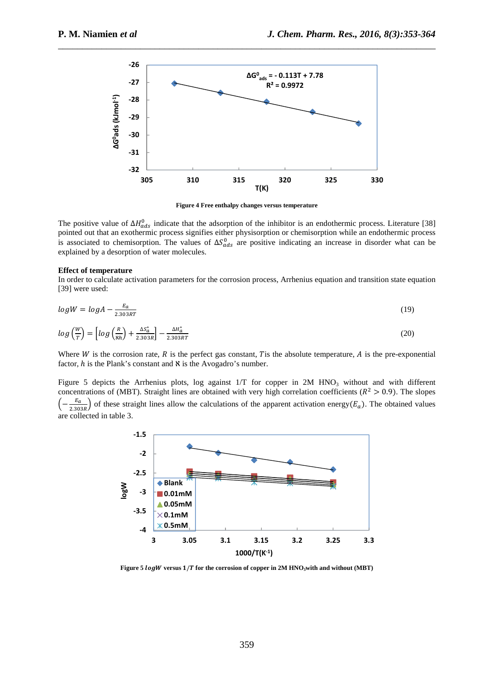

\_\_\_\_\_\_\_\_\_\_\_\_\_\_\_\_\_\_\_\_\_\_\_\_\_\_\_\_\_\_\_\_\_\_\_\_\_\_\_\_\_\_\_\_\_\_\_\_\_\_\_\_\_\_\_\_\_\_\_\_\_\_\_\_\_\_\_\_\_\_\_\_\_\_\_\_\_\_

**Figure 4 Free enthalpy changes versus temperature** 

The positive value of  $\Delta H_{ads}^0$  indicate that the adsorption of the inhibitor is an endothermic process. Literature [38] pointed out that an exothermic process signifies either physisorption or chemisorption while an endothermic process is associated to chemisorption. The values of  $\Delta S_{ads}^0$  are positive indicating an increase in disorder what can be explained by a desorption of water molecules.

### **Effect of temperature**

In order to calculate activation parameters for the corrosion process, Arrhenius equation and transition state equation [39] were used:

$$
log W = log A - \frac{E_a}{2.303RT}
$$
 (19)

$$
log\left(\frac{W}{T}\right) = \left[log\left(\frac{R}{\kappa h}\right) + \frac{\Delta S_a^*}{2.303R}\right] - \frac{\Delta H_a^*}{2.303RT}
$$
\n(20)

Where  $W$  is the corrosion rate,  $R$  is the perfect gas constant,  $T$  is the absolute temperature,  $A$  is the pre-exponential factor,  $h$  is the Plank's constant and  $\aleph$  is the Avogadro's number.

Figure 5 depicts the Arrhenius plots, log against  $1/T$  for copper in 2M HNO<sub>3</sub> without and with different concentrations of (MBT). Straight lines are obtained with very high correlation coefficients ( $R^2 > 0.9$ ). The slopes  $\left(-\frac{E_a}{2.303R}\right)$  of these straight lines allow the calculations of the apparent activation energy( $E_a$ ). The obtained values are collected in table 3.



**Figure 5** *logW* **versus 1/T for the corrosion of copper in 2M HNO<sub>3</sub>with and without (MBT)**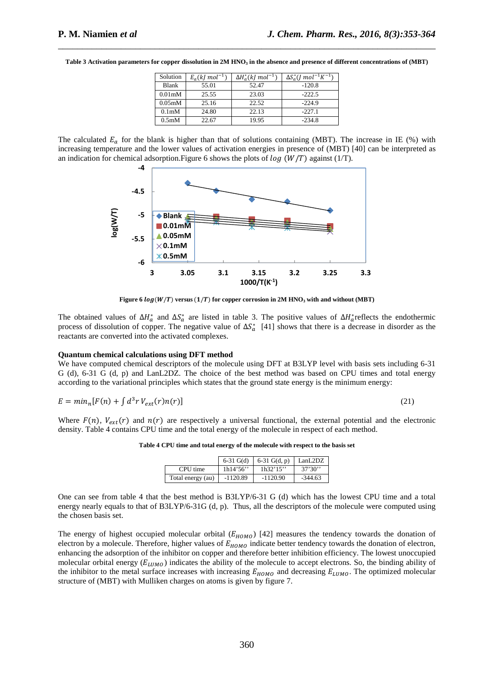| Solution            | $E_{a}(kl \, mol^{-1})$ | $\Delta H^*_{\alpha}(kl \; mol^{-1})$ | $\Delta S_{a}^{*}$ ( <i>I</i> mol <sup>-1</sup> K <sup>-1</sup> ) |
|---------------------|-------------------------|---------------------------------------|-------------------------------------------------------------------|
| Blank               | 55.01                   | 52.47                                 | $-120.8$                                                          |
| 0.01 <sub>m</sub> M | 25.55                   | 23.03                                 | $-222.5$                                                          |
| 0.05 <sub>m</sub> M | 25.16                   | 22.52                                 | $-224.9$                                                          |
| 0.1 <sub>m</sub> M  | 24.80                   | 22.13                                 | $-227.1$                                                          |
| 0.5 <sub>m</sub> M  | 22.67                   | 19.95                                 | $-234.8$                                                          |

**Table 3 Activation parameters for copper dissolution in 2M HNO3 in the absence and presence of different concentrations of (MBT)** 

\_\_\_\_\_\_\_\_\_\_\_\_\_\_\_\_\_\_\_\_\_\_\_\_\_\_\_\_\_\_\_\_\_\_\_\_\_\_\_\_\_\_\_\_\_\_\_\_\_\_\_\_\_\_\_\_\_\_\_\_\_\_\_\_\_\_\_\_\_\_\_\_\_\_\_\_\_\_

The calculated  $E_a$  for the blank is higher than that of solutions containing (MBT). The increase in IE (%) with increasing temperature and the lower values of activation energies in presence of (MBT) [40] can be interpreted as an indication for chemical adsorption. Figure 6 shows the plots of  $log(W/T)$  against (1/T).



**Figure 6**  $log(W/T)$  **versus**  $(1/T)$  **for copper corrosion in 2M HNO<sub>3</sub> with and without (MBT)** 

The obtained values of  $\Delta H_a^*$  and  $\Delta S_a^*$  are listed in table 3. The positive values of  $\Delta H_a^*$  reflects the endothermic process of dissolution of copper. The negative value of  $\Delta S_a^*$  [41] shows that there is a decrease in disorder as the reactants are converted into the activated complexes.

# **Quantum chemical calculations using DFT method**

We have computed chemical descriptors of the molecule using DFT at B3LYP level with basis sets including 6-31 G (d), 6-31 G (d, p) and LanL2DZ. The choice of the best method was based on CPU times and total energy according to the variational principles which states that the ground state energy is the minimum energy:

$$
E = minn[F(n) + \int d3r Vext(r)n(r)]
$$
\n(21)

Where  $F(n)$ ,  $V_{ext}(r)$  and  $n(r)$  are respectively a universal functional, the external potential and the electronic density. Table 4 contains CPU time and the total energy of the molecule in respect of each method.

|  |  | Table 4 CPU time and total energy of the molecule with respect to the basis set |
|--|--|---------------------------------------------------------------------------------|
|--|--|---------------------------------------------------------------------------------|

|                   | $6-31$ G(d) | 6-31 $G(d, p)$ | LanL2DZ   |
|-------------------|-------------|----------------|-----------|
| CPU time          | 1h14'56''   | 1h32'15''      | 37'30'    |
| Total energy (au) | $-1120.89$  | $-1120.90$     | $-344.63$ |

One can see from table 4 that the best method is B3LYP/6-31 G (d) which has the lowest CPU time and a total energy nearly equals to that of B3LYP/6-31G (d, p). Thus, all the descriptors of the molecule were computed using the chosen basis set.

The energy of highest occupied molecular orbital  $(E_{HOMO})$  [42] measures the tendency towards the donation of electron by a molecule. Therefore, higher values of  $E_{HOMO}$  indicate better tendency towards the donation of electron, enhancing the adsorption of the inhibitor on copper and therefore better inhibition efficiency. The lowest unoccupied molecular orbital energy  $(E_{LUMO})$  indicates the ability of the molecule to accept electrons. So, the binding ability of the inhibitor to the metal surface increases with increasing  $E_{HOMO}$  and decreasing  $E_{LUMO}$ . The optimized molecular structure of (MBT) with Mulliken charges on atoms is given by figure 7.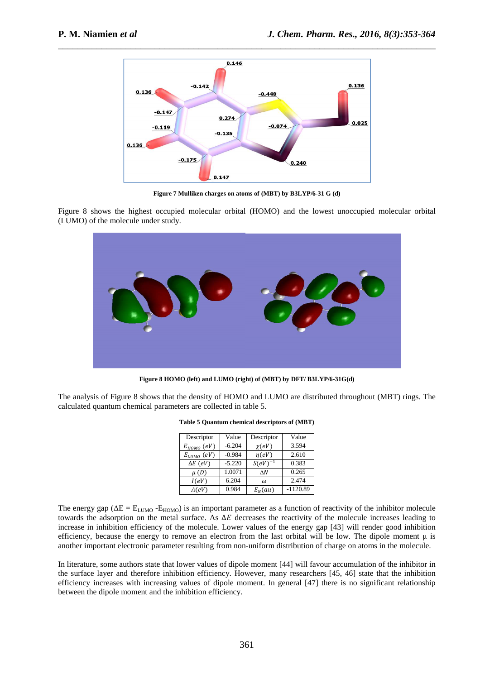

**Figure 7 Mulliken charges on atoms of (MBT) by B3LYP/6-31 G (d)** 

Figure 8 shows the highest occupied molecular orbital (HOMO) and the lowest unoccupied molecular orbital (LUMO) of the molecule under study.



**Figure 8 HOMO (left) and LUMO (right) of (MBT) by DFT/ B3LYP/6-31G(d)** 

The analysis of Figure 8 shows that the density of HOMO and LUMO are distributed throughout (MBT) rings. The calculated quantum chemical parameters are collected in table 5.

| Descriptor      | Value    | Descriptor   | Value      |
|-----------------|----------|--------------|------------|
| $E_{HOMO}$ (eV) | $-6.204$ | $\chi(eV)$   | 3.594      |
| $E_{LUMO}$ (eV) | $-0.984$ | $\eta(eV)$   | 2.610      |
| $\Delta E$ (eV) | $-5.220$ | $S(eV)^{-1}$ | 0.383      |
| $\mu(D)$        | 1.0071   | $\wedge N$   | 0.265      |
| I(eV)           | 6.204    | $\omega$     | 2.474      |
| A(eV)           | 0.984    | $E_N(au)$    | $-1120.89$ |

**Table 5 Quantum chemical descriptors of (MBT)** 

The energy gap ( $\Delta E = E_{LUMO} - E_{HOMO}$ ) is an important parameter as a function of reactivity of the inhibitor molecule towards the adsorption on the metal surface. As  $\Delta E$  decreases the reactivity of the molecule increases leading to increase in inhibition efficiency of the molecule. Lower values of the energy gap [43] will render good inhibition efficiency, because the energy to remove an electron from the last orbital will be low. The dipole moment u is another important electronic parameter resulting from non-uniform distribution of charge on atoms in the molecule.

In literature, some authors state that lower values of dipole moment [44] will favour accumulation of the inhibitor in the surface layer and therefore inhibition efficiency. However, many researchers [45, 46] state that the inhibition efficiency increases with increasing values of dipole moment. In general [47] there is no significant relationship between the dipole moment and the inhibition efficiency.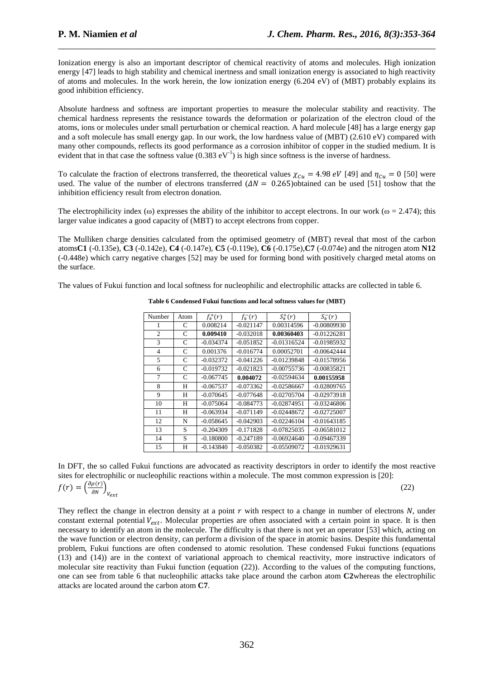Ionization energy is also an important descriptor of chemical reactivity of atoms and molecules. High ionization energy [47] leads to high stability and chemical inertness and small ionization energy is associated to high reactivity of atoms and molecules. In the work herein, the low ionization energy (6.204 eV) of (MBT) probably explains its good inhibition efficiency.

\_\_\_\_\_\_\_\_\_\_\_\_\_\_\_\_\_\_\_\_\_\_\_\_\_\_\_\_\_\_\_\_\_\_\_\_\_\_\_\_\_\_\_\_\_\_\_\_\_\_\_\_\_\_\_\_\_\_\_\_\_\_\_\_\_\_\_\_\_\_\_\_\_\_\_\_\_\_

Absolute hardness and softness are important properties to measure the molecular stability and reactivity. The chemical hardness represents the resistance towards the deformation or polarization of the electron cloud of the atoms, ions or molecules under small perturbation or chemical reaction. A hard molecule [48] has a large energy gap and a soft molecule has small energy gap. In our work, the low hardness value of (MBT) (2.610 eV) compared with many other compounds, reflects its good performance as a corrosion inhibitor of copper in the studied medium. It is evident that in that case the softness value  $(0.383 \text{ eV}^{-1})$  is high since softness is the inverse of hardness.

To calculate the fraction of electrons transferred, the theoretical values  $\chi_{Cu} = 4.98 \text{ eV}$  [49] and  $\eta_{Cu} = 0$  [50] were used. The value of the number of electrons transferred  $(\Delta N = 0.265)$ obtained can be used [51] toshow that the inhibition efficiency result from electron donation.

The electrophilicity index (ω) expresses the ability of the inhibitor to accept electrons. In our work ( $\omega = 2.474$ ); this larger value indicates a good capacity of (MBT) to accept electrons from copper.

The Mulliken charge densities calculated from the optimised geometry of (MBT) reveal that most of the carbon atoms**C1** (-0.135e), **C3** (-0.142e), **C4** (-0.147e), **C5** (-0.119e), **C6** (-0.175e),**C7** (-0.074e) and the nitrogen atom **N12** (-0.448e) which carry negative charges [52] may be used for forming bond with positively charged metal atoms on the surface.

The values of Fukui function and local softness for nucleophilic and electrophilic attacks are collected in table 6.

| Number         | Atom | $f^+(r)$    | $f_{\nu}^-(r)$ | $S_k^+(r)$    | $S_{\nu}^-(r)$ |
|----------------|------|-------------|----------------|---------------|----------------|
| 1              | С    | 0.008214    | $-0.021147$    | 0.00314596    | $-0.00809930$  |
| $\overline{c}$ | C    | 0.009410    | $-0.032018$    | 0.00360403    | $-0.01226281$  |
| 3              | C    | $-0.034374$ | $-0.051852$    | $-0.01316524$ | $-0.01985932$  |
| $\overline{4}$ | C    | 0.001376    | $-0.016774$    | 0.00052701    | $-0.00642444$  |
| 5              | C    | $-0.032372$ | $-0.041226$    | $-0.01239848$ | $-0.01578956$  |
| 6              | C    | $-0.019732$ | $-0.021823$    | $-0.00755736$ | $-0.00835821$  |
| 7              | C    | $-0.067745$ | 0.004072       | $-0.02594634$ | 0.00155958     |
| 8              | Н    | $-0.067537$ | $-0.073362$    | $-0.02586667$ | $-0.02809765$  |
| 9              | Н    | $-0.070645$ | $-0.077648$    | $-0.02705704$ | $-0.02973918$  |
| 10             | Н    | $-0.075064$ | $-0.084773$    | $-0.02874951$ | $-0.03246806$  |
| 11             | Н    | $-0.063934$ | $-0.071149$    | $-0.02448672$ | $-0.02725007$  |
| 12             | N    | $-0.058645$ | $-0.042903$    | $-0.02246104$ | $-0.01643185$  |
| 13             | S    | $-0.204309$ | $-0.171828$    | $-0.07825035$ | $-0.06581012$  |
| 14             | S    | $-0.180800$ | $-0.247189$    | $-0.06924640$ | $-0.09467339$  |
| 15             | H    | $-0.143840$ | $-0.050382$    | $-0.05509072$ | $-0.01929631$  |

**Table 6 Condensed Fukui functions and local softness values for (MBT)** 

In DFT, the so called Fukui functions are advocated as reactivity descriptors in order to identify the most reactive sites for electrophilic or nucleophilic reactions within a molecule. The most common expression is [20]:  $(22)$ 

$$
f(r) = \left(\frac{\partial \rho(r)}{\partial N}\right)_{V_{ext}}
$$

They reflect the change in electron density at a point  $r$  with respect to a change in number of electrons  $N$ , under constant external potential  $V_{ext}$ . Molecular properties are often associated with a certain point in space. It is then necessary to identify an atom in the molecule. The difficulty is that there is not yet an operator [53] which, acting on the wave function or electron density, can perform a division of the space in atomic basins. Despite this fundamental problem, Fukui functions are often condensed to atomic resolution. These condensed Fukui functions (equations (13) and (14)) are in the context of variational approach to chemical reactivity, more instructive indicators of molecular site reactivity than Fukui function (equation (22)). According to the values of the computing functions, one can see from table 6 that nucleophilic attacks take place around the carbon atom **C2**whereas the electrophilic attacks are located around the carbon atom **C7**.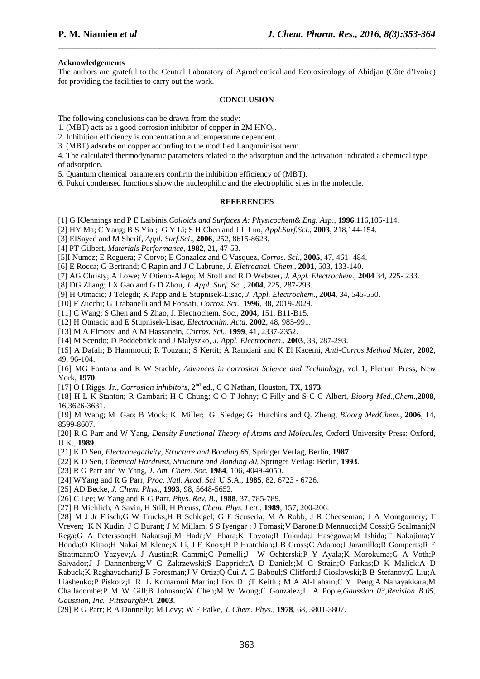### **Acknowledgements**

The authors are grateful to the Central Laboratory of Agrochemical and Ecotoxicology of Abidjan (Côte d'Ivoire) for providing the facilities to carry out the work.

\_\_\_\_\_\_\_\_\_\_\_\_\_\_\_\_\_\_\_\_\_\_\_\_\_\_\_\_\_\_\_\_\_\_\_\_\_\_\_\_\_\_\_\_\_\_\_\_\_\_\_\_\_\_\_\_\_\_\_\_\_\_\_\_\_\_\_\_\_\_\_\_\_\_\_\_\_\_

#### **CONCLUSION**

The following conclusions can be drawn from the study:

- 1. (MBT) acts as a good corrosion inhibitor of copper in 2M HNO3.
- 2. Inhibition efficiency is concentration and temperature dependent.
- 3. (MBT) adsorbs on copper according to the modified Langmuir isotherm.

4. The calculated thermodynamic parameters related to the adsorption and the activation indicated a chemical type of adsorption.

- 5. Quantum chemical parameters confirm the inhibition efficiency of (MBT).
- 6. Fukui condensed functions show the nucleophilic and the electrophilic sites in the molecule.

# **REFERENCES**

- [1] G KJennings and P E Laibinis,*Colloids and Surfaces A: Physicochem& Eng. Asp*., **1996**,116,105-114.
- [2] HY Ma; C Yang; B S Yin ; G Y Li; S H Chen and J L Luo, *Appl.Surf.Sci.*, **2003**, 218,144-154.
- [3] EISayed and M Sherif, *Appl. Surf.Sci*., **2006**, 252, 8615-8623.
- [4] PT Gilbert, *Materials Performance*, **1982**, 21, 47-53.

[5]I Numez; E Reguera; F Corvo; E Gonzalez and C Vasquez, *Corros. Sci*., **2005**, 47, 461- 484.

[6] E Rocca; G Bertrand; C Rapin and J C Labrune, *J. Eletroanal. Chem*., **2001**, 503, 133-140.

- [7] AG Christy; A Lowe; V Otieno-Alego; M Stoll and R D Webster, *J. Appl. Electrochem*., **2004** 34, 225- 233.
- [8] DG Zhang; I X Gao and G D Zhou, *J. Appl. Surf.* Sci., **2004**, 225, 287-293.
- [9] H Otmacic; J Telegdi; K Papp and E Stupnisek-Lisac, *J. Appl. Electrochem*., **2004**, 34, 545-550.
- [10] F Zucchi; G Trabanelli and M Fonsati, *Corros. Sci*., **1996**, 38, 2019-2029.
- [11] C Wang; S Chen and S Zhao, J. Electrochem. Soc., **2004**, 151, B11-B15.
- [12] H Otmacic and E Stupnisek-Lisac, *Electrochim. Acta*, **2002**, 48, 985-991.
- [13] M A Elmorsi and A M Hassanein, *Corros. Sci*., **1999**, 41, 2337-2352.
- [14] M Scendo; D Poddebnick and J Malyszko, *J. Appl. Electrochem*., **2003**, 33, 287-293.
- [15] A Dafali; B Hammouti; R Touzani; S Kertit; A Ramdani and K El Kacemi, *Anti-Corros.Method Mater*, **2002**, 49, 96-104.

[16] MG Fontana and K W Staehle, *Advances in corrosion Science and Technology*, vol 1, Plenum Press, New York, **1970**.

[17] O I Riggs, Jr., *Corrosion inhibitors*, 2nd ed., C C Nathan, Houston, TX, **1973**.

[18] H L K Stanton; R Gambari; H C Chung; C O T Johny; C Filly and S C C Albert, *Bioorg Med.,Chem*.,**2008**, 16,3626-3631.

[19] M Wang; M Gao; B Mock; K Miller; G Sledge; G Hutchins and Q. Zheng, *Bioorg MedChem*., **2006**, 14, 8599-8607.

[20] R G Parr and W Yang, *Density Functional Theory of Atoms and Molecules*, Oxford University Press: Oxford, U.K., **1989**.

- [21] K D Sen, *Electronegativity, Structure and Bonding 66*, Springer Verlag, Berlin, **1987**.
- [22] K D Sen, *Chemical Hardness, Structure and Bonding 80*, Springer Verlag: Berlin, **1993**.
- [23] R G Parr and W Yang, *J. Am. Chem. Soc*. **1984**, 106, 4049-4050.
- [24] WYang and R G Parr, *Proc. Natl. Acad. Sci.* U.S.A., **1985**, 82, 6723 6726.
- [25] AD Becke, *J. Chem. Phys*., **1993**, 98, 5648-5652.
- [26] C Lee; W Yang and R G Parr, *Phys. Rev. B*., **1988**, 37, 785-789.

[27] B Miehlich, A Savin, H Still, H Preuss, *Chem. Phys. Lett*., **1989**, 157, 200-206.

[28] M J Jr Frisch;G W Trucks;H B Schlegel; G E Scuseria; M A Robb; J R Cheeseman; J A Montgomery; T Vreven; K N Kudin; J C Burant; J M Millam; S S Iyengar ; J Tomasi;V Barone;B Mennucci;M Cossi;G Scalmani;N Rega;G A Petersson;H Nakatsuji;M Hada;M Ehara;K Toyota;R Fukuda;J Hasegawa;M Ishida;T Nakajima;Y Honda;O Kitao;H Nakai;M Klene;X Li, J E Knox;H P Hratchian;J B Cross;C Adamo;J Jaramillo;R Gomperts;R E Stratmann;O Yazyev;A J Austin;R Cammi;C Pomelli;J W Ochterski;P Y Ayala;K Morokuma;G A Voth;P Salvador;J J Dannenberg;V G Zakrzewski;S Dapprich;A D Daniels;M C Strain;O Farkas;D K Malick;A D Rabuck;K Raghavachari;J B Foresman;J V Ortiz;Q Cui;A G Baboul;S Clifford;J Cioslowski;B B Stefanov;G Liu;A Liashenko;P Piskorz;I R L Komaromi Martin;J Fox D ;T Keith ; M A Al-Laham;C Y Peng;A Nanayakkara;M Challacombe;P M W Gill;B Johnson;W Chen;M W Wong;C Gonzalez;J A Pople,*Gaussian 03*,*Revision B.05, Gaussian, Inc., PittsburghPA*, **2003**.

[29] R G Parr; R A Donnelly; M Levy; W E Palke, *J. Chem. Phys*., **1978**, 68, 3801-3807.